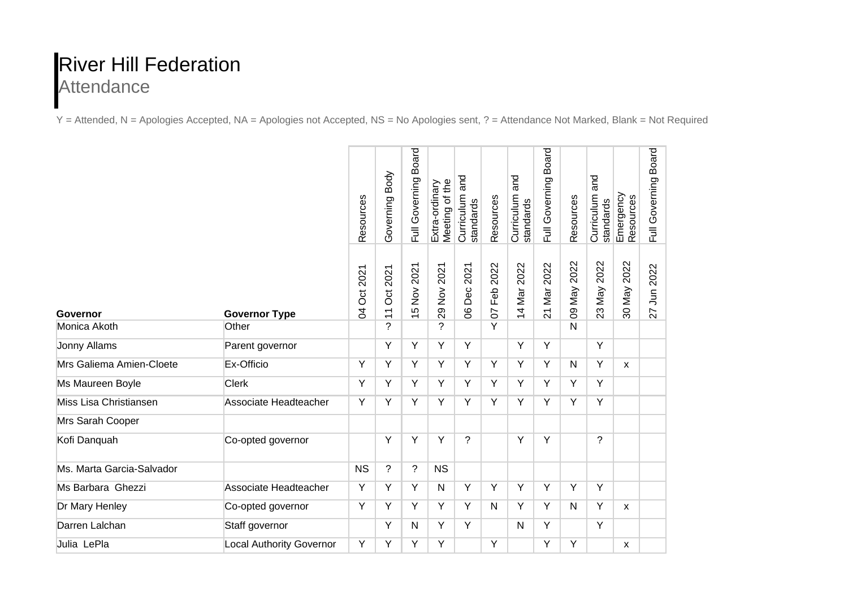## River Hill Federation **Attendance**

Y = Attended, N = Apologies Accepted, NA = Apologies not Accepted, NS = No Apologies sent, ? = Attendance Not Marked, Blank = Not Required

|                           |                                 | Resources                  | Body<br>Governing           | Full Governing Board      | Meeting of the<br>Extra-ordinary | and<br>Curriculum<br>standards | Resources                     | and<br>Curriculum<br>standards | <b>Board</b><br>Full Governing | Resources                 | and<br>Curriculum<br>standards | Emergency<br>Resources | Full Governing Board |
|---------------------------|---------------------------------|----------------------------|-----------------------------|---------------------------|----------------------------------|--------------------------------|-------------------------------|--------------------------------|--------------------------------|---------------------------|--------------------------------|------------------------|----------------------|
| Governor                  | <b>Governor Type</b>            | Oct 2021<br>$\overline{5}$ | 2021<br>Ö<br>$\overline{1}$ | Nov 2021<br>$\frac{1}{2}$ | 2021<br>$\sum_{i=1}^{n}$<br>29   | 2021<br>Dec:<br>8              | 2022<br>Feb<br>$\overline{0}$ | 14 Mar 2022                    | Mar 2022<br>$\overline{2}$     | 2022<br>VeM <sub>80</sub> | 2022<br>Vay<br>23              | 30 May 2022            | Jun 2022<br>27       |
| Monica Akoth              | Other                           |                            | $\overline{\phantom{a}}$    |                           | ?                                |                                | $\overline{Y}$                |                                |                                | $\mathsf{N}$              |                                |                        |                      |
| <b>Jonny Allams</b>       | Parent governor                 |                            | Y                           | Υ                         | Y                                | Y                              |                               | Y                              | Y                              |                           | Y                              |                        |                      |
| Mrs Galiema Amien-Cloete  | Ex-Officio                      | Υ                          | Υ                           | Y                         | Υ                                | Y                              | Y                             | Y                              | Y                              | $\mathsf{N}$              | Y                              | $\mathsf{x}$           |                      |
| Ms Maureen Boyle          | <b>Clerk</b>                    | Y                          | Y                           | Y                         | Y                                | Y                              | Y                             | Y                              | Y                              | Y                         | Y                              |                        |                      |
| Miss Lisa Christiansen    | Associate Headteacher           | Υ                          | Y                           | Y                         | Y                                | Y                              | Y                             | Y                              | Y                              | Y                         | Υ                              |                        |                      |
| Mrs Sarah Cooper          |                                 |                            |                             |                           |                                  |                                |                               |                                |                                |                           |                                |                        |                      |
| Kofi Danquah              | Co-opted governor               |                            | Y                           | Υ                         | Y                                | ?                              |                               | Υ                              | Y                              |                           | $\overline{?}$                 |                        |                      |
| Ms. Marta Garcia-Salvador |                                 | <b>NS</b>                  | $\overline{\phantom{a}}$    | ?                         | <b>NS</b>                        |                                |                               |                                |                                |                           |                                |                        |                      |
| Ms Barbara Ghezzi         | Associate Headteacher           | Y                          | Y                           | Y                         | N                                | $\overline{Y}$                 | $\overline{Y}$                | $\overline{Y}$                 | $\overline{Y}$                 | $\overline{Y}$            | $\overline{Y}$                 |                        |                      |
| Dr Mary Henley            | Co-opted governor               | Y                          | Y                           | Y                         | Y                                | Y                              | $\mathsf{N}$                  | Y                              | Y                              | $\mathsf{N}$              | Y                              | $\mathsf{x}$           |                      |
| Darren Lalchan            | Staff governor                  |                            | Y                           | N                         | Y                                | Y                              |                               | N                              | Y                              |                           | $\overline{Y}$                 |                        |                      |
| Julia LePla               | <b>Local Authority Governor</b> | Υ                          | Υ                           | Υ                         | Υ                                |                                | Y                             |                                | Υ                              | Y                         |                                | X                      |                      |